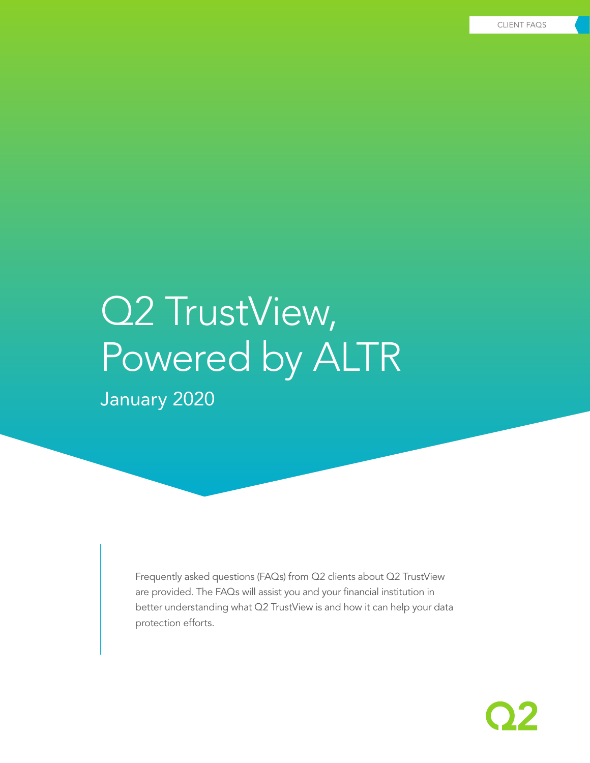# Q2 TrustView, Powered by ALTR January 2020

Frequently asked questions (FAQs) from Q2 clients about Q2 TrustView are provided. The FAQs will assist you and your financial institution in better understanding what Q2 TrustView is and how it can help your data protection efforts.

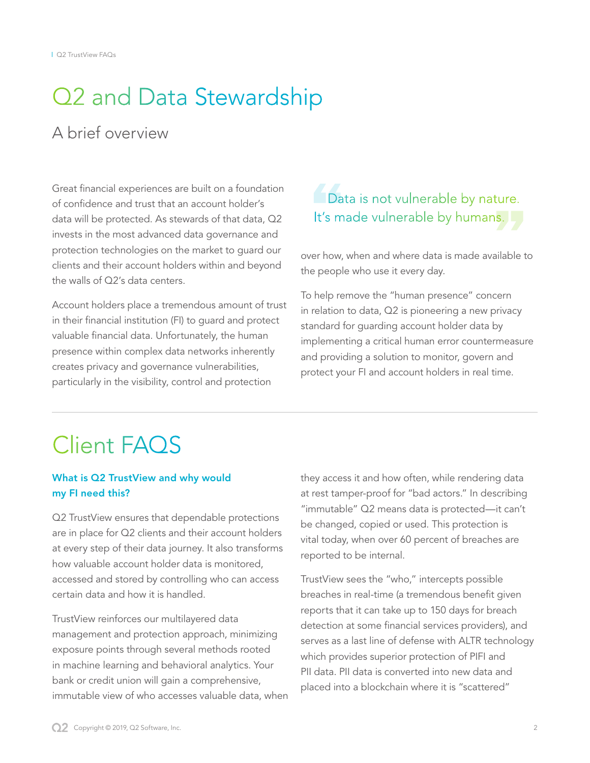## Q2 and Data Stewardship

## A brief overview

Great financial experiences are built on a foundation of confidence and trust that an account holder's data will be protected. As stewards of that data, Q2 invests in the most advanced data governance and protection technologies on the market to guard our clients and their account holders within and beyond the walls of Q2's data centers.

Account holders place a tremendous amount of trust in their financial institution (FI) to guard and protect valuable financial data. Unfortunately, the human presence within complex data networks inherently creates privacy and governance vulnerabilities, particularly in the visibility, control and protection

## Data is not vulnerable by nature. It's made vulnerable by humans.

over how, when and where data is made available to the people who use it every day.

To help remove the "human presence" concern in relation to data, Q2 is pioneering a new privacy standard for guarding account holder data by implementing a critical human error countermeasure and providing a solution to monitor, govern and protect your FI and account holders in real time.

## Client FAQS

#### What is Q2 TrustView and why would my FI need this?

Q2 TrustView ensures that dependable protections are in place for Q2 clients and their account holders at every step of their data journey. It also transforms how valuable account holder data is monitored, accessed and stored by controlling who can access certain data and how it is handled.

TrustView reinforces our multilayered data management and protection approach, minimizing exposure points through several methods rooted in machine learning and behavioral analytics. Your bank or credit union will gain a comprehensive, immutable view of who accesses valuable data, when

they access it and how often, while rendering data at rest tamper-proof for "bad actors." In describing "immutable" Q2 means data is protected—it can't be changed, copied or used. This protection is vital today, when over 60 percent of breaches are reported to be internal.

TrustView sees the "who," intercepts possible breaches in real-time (a tremendous benefit given reports that it can take up to 150 days for breach detection at some financial services providers), and serves as a last line of defense with ALTR technology which provides superior protection of PIFI and PII data. PII data is converted into new data and placed into a blockchain where it is "scattered"